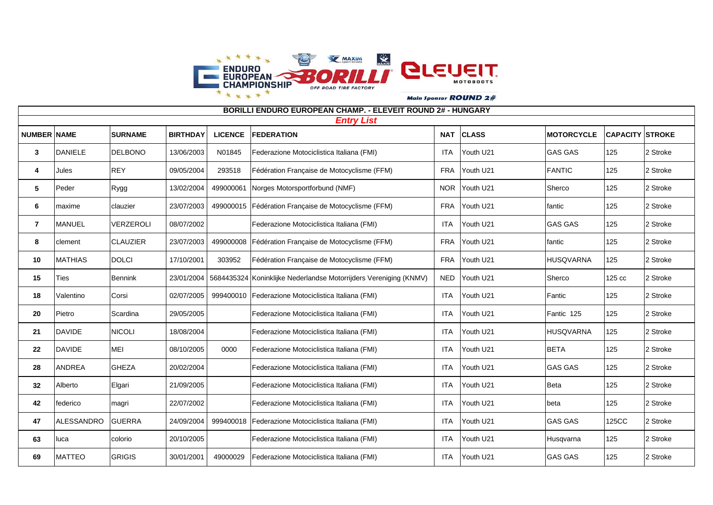

**NUMBER NAME SURNAME BIRTHDAY LICENCE FEDERATION NAT CLASS MOTORCYCLE CAPACITY STROKE** DANIELE DELBONO 13/06/2003 N01845 Federazione Motociclistica Italiana (FMI) | ITA Youth U21 GAS GAS 125 2 Stroke Jules REY | 09/05/2004 | 293518 Fédération Française de Motocyclisme (FFM) | FRA Youth U21 FANTIC | 125 | 2 Stroke Peder Rygg 13/02/2004 499000061 Norges Motorsportforbund (NMF) NOR Youth U21 Sherco 125 2 Stroke | maxime | clauzier | 23/07/2003 | 499000015 | Fédération Française de Motocyclisme (FFM) | FRA | Youth U21 fantic | 125 | 2 Stroke MANUEL VERZEROLI 08/07/2002 Federazione Motociclistica Italiana (FMI) ITA Youth U21 GAS GAS 125 2 Stroke clement CLAUZIER 23/07/2003 499000008 Fédération Française de Motocyclisme (FFM) FRA Youth U21 fantic 125 2 Stroke MATHIAS DOLCI 17/10/2001 303952 Fédération Française de Motocyclisme (FFM) FRA Youth U21 HUSQVARNA 125 2 Stroke 15 Ties Bennink 23/01/2004 5684435324 Koninklijke Nederlandse Motorrijders Vereniging (KNMV) NED Youth U21 Sherco 12 Stroke Valentino Corsi | 02/07/2005 | 999400010 Federazione Motociclistica Italiana (FMI) | ITA Youth U21 Fantic | 125 | 2 Stroke Pietro Scardina 29/05/2005 Federazione Motociclistica Italiana (FMI) | ITA Youth U21 Fantic 125 125 2 Stroke DAVIDE NICOLI 18/08/2004 Federazione Motociclistica Italiana (FMI) ITA Youth U21 HUSQVARNA 125 2 Stroke DAVIDE MEI | 08/10/2005 0000 Federazione Motociclistica Italiana (FMI) | ITA Youth U21 BETA 125 2 Stroke ANDREA GHEZA 20/02/2004 Federazione Motociclistica Italiana (FMI) | ITA Youth U21 GAS GAS | 125 | 2 Stroke Alberto Elgari 21/09/2005 Federazione Motociclistica Italiana (FMI) | ITA Youth U21 Beta | 125 2 Stroke federico magri 22/07/2002 Federazione Motociclistica Italiana (FMI) ITA Youth U21 beta 125 2 Stroke ALESSANDRO GUERRA 24/09/2004 999400018 Federazione Motociclistica Italiana (FMI) ITA Youth U21 GAS GAS 125CC 2 Stroke luca colorio 20/10/2005 Federazione Motociclistica Italiana (FMI) | ITA Youth U21 Husqvarna 125 2 Stroke *Entry List* **BORILLI ENDURO EUROPEAN CHAMP. - ELEVEIT ROUND 2# - HUNGARY**

MATTEO GRIGIS 30/01/2001 49000029 Federazione Motociclistica Italiana (FMI) ITA Youth U21 GAS GAS 125 2 Stroke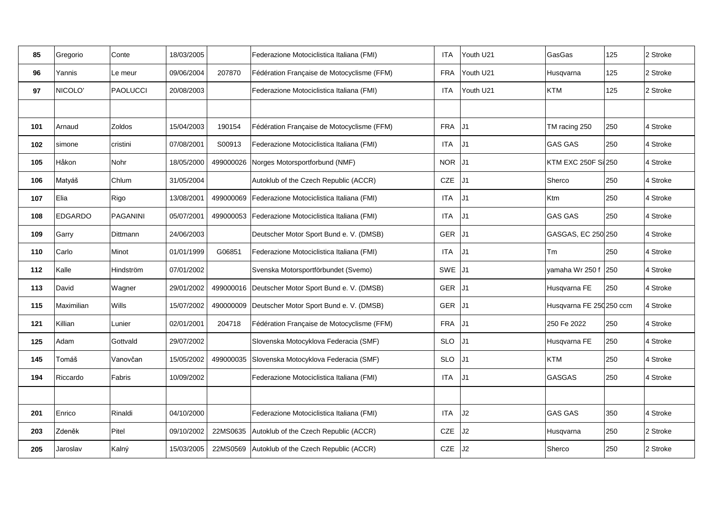| 85  | Gregorio       | Conte           | 18/03/2005 |           | Federazione Motociclistica Italiana (FMI)             | <b>ITA</b> | Youth U21      | GasGas                   | 125 | 2 Stroke |
|-----|----------------|-----------------|------------|-----------|-------------------------------------------------------|------------|----------------|--------------------------|-----|----------|
| 96  | Yannis         | Le meur         | 09/06/2004 | 207870    | Fédération Française de Motocyclisme (FFM)            | <b>FRA</b> | Youth U21      | Husqvarna                | 125 | 2 Stroke |
| 97  | NICOLO'        | <b>PAOLUCCI</b> | 20/08/2003 |           | Federazione Motociclistica Italiana (FMI)             | <b>ITA</b> | Youth U21      | <b>KTM</b>               | 125 | 2 Stroke |
|     |                |                 |            |           |                                                       |            |                |                          |     |          |
| 101 | Arnaud         | <b>Zoldos</b>   | 15/04/2003 | 190154    | Fédération Française de Motocyclisme (FFM)            | <b>FRA</b> | J <sub>1</sub> | TM racing 250            | 250 | 4 Stroke |
| 102 | simone         | cristini        | 07/08/2001 | S00913    | Federazione Motociclistica Italiana (FMI)             | <b>ITA</b> | J <sub>1</sub> | <b>GAS GAS</b>           | 250 | 4 Stroke |
| 105 | Håkon          | Nohr            | 18/05/2000 | 499000026 | Norges Motorsportforbund (NMF)                        | <b>NOR</b> | J <sub>1</sub> | KTM EXC 250F Sil250      |     | 4 Stroke |
| 106 | Matyáš         | Chlum           | 31/05/2004 |           | Autoklub of the Czech Republic (ACCR)                 | CZE        | J <sub>1</sub> | Sherco                   | 250 | 4 Stroke |
| 107 | Elia           | Rigo            | 13/08/2001 | 499000069 | Federazione Motociclistica Italiana (FMI)             | <b>ITA</b> | J <sub>1</sub> | <b>Ktm</b>               | 250 | 4 Stroke |
| 108 | <b>EDGARDO</b> | <b>PAGANINI</b> | 05/07/2001 |           | 499000053   Federazione Motociclistica Italiana (FMI) | ITA.       | J <sub>1</sub> | <b>GAS GAS</b>           | 250 | 4 Stroke |
| 109 | Garry          | Dittmann        | 24/06/2003 |           | Deutscher Motor Sport Bund e. V. (DMSB)               | <b>GER</b> | J1             | GASGAS, EC 250 250       |     | 4 Stroke |
| 110 | Carlo          | Minot           | 01/01/1999 | G06851    | Federazione Motociclistica Italiana (FMI)             | <b>ITA</b> | J <sub>1</sub> | Tm                       | 250 | 4 Stroke |
| 112 | Kalle          | Hindström       | 07/01/2002 |           | Svenska Motorsportförbundet (Svemo)                   | SWE        | J1             | yamaha Wr 250 f          | 250 | 4 Stroke |
| 113 | David          | Wagner          | 29/01/2002 |           | 499000016   Deutscher Motor Sport Bund e. V. (DMSB)   | <b>GER</b> | IJ1            | Husqvarna FE             | 250 | 4 Stroke |
| 115 | Maximilian     | <b>Wills</b>    | 15/07/2002 | 490000009 | Deutscher Motor Sport Bund e. V. (DMSB)               | <b>GER</b> | J1             | Husqvarna FE 250 250 ccm |     | 4 Stroke |
| 121 | Killian        | Lunier          | 02/01/2001 | 204718    | Fédération Française de Motocyclisme (FFM)            | <b>FRA</b> | J <sub>1</sub> | 250 Fe 2022              | 250 | 4 Stroke |
| 125 | Adam           | Gottvald        | 29/07/2002 |           | Slovenska Motocyklova Federacia (SMF)                 | <b>SLO</b> | J <sub>1</sub> | Husqvarna FE             | 250 | 4 Stroke |
| 145 | Tomáš          | Vanovčan        | 15/05/2002 | 499000035 | Slovenska Motocyklova Federacia (SMF)                 | <b>SLO</b> | J1             | <b>KTM</b>               | 250 | 4 Stroke |
| 194 | Riccardo       | Fabris          | 10/09/2002 |           | Federazione Motociclistica Italiana (FMI)             | ITA.       | J <sub>1</sub> | <b>GASGAS</b>            | 250 | 4 Stroke |
|     |                |                 |            |           |                                                       |            |                |                          |     |          |
| 201 | Enrico         | Rinaldi         | 04/10/2000 |           | Federazione Motociclistica Italiana (FMI)             | ITA        | J2             | <b>GAS GAS</b>           | 350 | 4 Stroke |
| 203 | Zdeněk         | Pitel           | 09/10/2002 | 22MS0635  | Autoklub of the Czech Republic (ACCR)                 | CZE        | J2             | Husqvarna                | 250 | 2 Stroke |
| 205 | Jaroslav       | Kalný           | 15/03/2005 | 22MS0569  | Autoklub of the Czech Republic (ACCR)                 | CZE        | J2             | Sherco                   | 250 | 2 Stroke |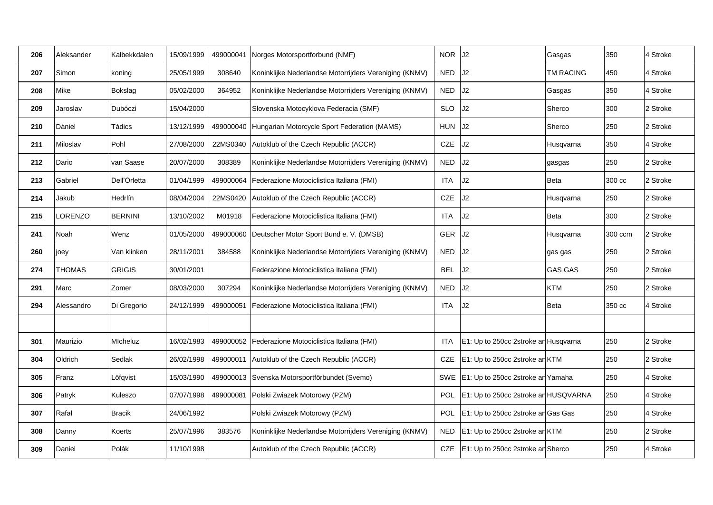| 206 | Aleksander | Kalbekkdalen   | 15/09/1999 | 499000041 | Norges Motorsportforbund (NMF)                         | <b>NOR</b> | J2                                   | Gasgas           | 350     | 4 Stroke |
|-----|------------|----------------|------------|-----------|--------------------------------------------------------|------------|--------------------------------------|------------------|---------|----------|
| 207 | Simon      | koning         | 25/05/1999 | 308640    | Koninklijke Nederlandse Motorrijders Vereniging (KNMV) | <b>NED</b> | J2                                   | <b>TM RACING</b> | 450     | 4 Stroke |
| 208 | Mike       | Bokslag        | 05/02/2000 | 364952    | Koninklijke Nederlandse Motorrijders Vereniging (KNMV) | <b>NED</b> | J2                                   | Gasgas           | 350     | 4 Stroke |
| 209 | Jaroslav   | Dubóczi        | 15/04/2000 |           | Slovenska Motocyklova Federacia (SMF)                  | <b>SLO</b> | J2                                   | Sherco           | 300     | 2 Stroke |
| 210 | Dániel     | Tádics         | 13/12/1999 |           | 499000040 Hungarian Motorcycle Sport Federation (MAMS) | <b>HUN</b> | J2                                   | Sherco           | 250     | 2 Stroke |
| 211 | Miloslav   | Pohl           | 27/08/2000 | 22MS0340  | Autoklub of the Czech Republic (ACCR)                  | CZE        | J2                                   | Husqvarna        | 350     | 4 Stroke |
| 212 | Dario      | van Saase      | 20/07/2000 | 308389    | Koninklijke Nederlandse Motorrijders Vereniging (KNMV) | NED.       | J2                                   | gasgas           | 250     | 2 Stroke |
| 213 | Gabriel    | Dell'Orletta   | 01/04/1999 | 499000064 | Federazione Motociclistica Italiana (FMI)              | <b>ITA</b> | J2                                   | Beta             | 300 cc  | 2 Stroke |
| 214 | Jakub      | Hedrlín        | 08/04/2004 | 22MS0420  | Autoklub of the Czech Republic (ACCR)                  | CZE        | J2                                   | Husqvarna        | 250     | 2 Stroke |
| 215 | LORENZO    | <b>BERNINI</b> | 13/10/2002 | M01918    | Federazione Motociclistica Italiana (FMI)              | ITA        | J2                                   | <b>Beta</b>      | 300     | 2 Stroke |
| 241 | Noah       | Wenz           | 01/05/2000 | 499000060 | Deutscher Motor Sport Bund e. V. (DMSB)                | <b>GER</b> | J2                                   | Husqvarna        | 300 ccm | 2 Stroke |
| 260 | joey       | Van klinken    | 28/11/2001 | 384588    | Koninklijke Nederlandse Motorrijders Vereniging (KNMV) | <b>NED</b> | J2                                   | gas gas          | 250     | 2 Stroke |
| 274 | THOMAS     | <b>GRIGIS</b>  | 30/01/2001 |           | Federazione Motociclistica Italiana (FMI)              | <b>BEL</b> | J2                                   | <b>GAS GAS</b>   | 250     | 2 Stroke |
| 291 | Marc       | Zomer          | 08/03/2000 | 307294    | Koninklijke Nederlandse Motorrijders Vereniging (KNMV) | <b>NED</b> | J2                                   | <b>KTM</b>       | 250     | 2 Stroke |
| 294 | Alessandro | Di Gregorio    | 24/12/1999 | 499000051 | Federazione Motociclistica Italiana (FMI)              | ITA        | J2                                   | Beta             | 350 cc  | 4 Stroke |
|     |            |                |            |           |                                                        |            |                                      |                  |         |          |
| 301 | Maurizio   | Micheluz       | 16/02/1983 |           | 499000052 Federazione Motociclistica Italiana (FMI)    | <b>ITA</b> | E1: Up to 250cc 2stroke an Husqvarna |                  | 250     | 2 Stroke |
| 304 | Oldrich    | Sedlak         | 26/02/1998 | 499000011 | Autoklub of the Czech Republic (ACCR)                  | <b>CZE</b> | E1: Up to 250cc 2stroke an KTM       |                  | 250     | 2 Stroke |
| 305 | Franz      | Löfqvist       | 15/03/1990 | 499000013 | Svenska Motorsportförbundet (Svemo)                    | SWE        | E1: Up to 250cc 2stroke an Yamaha    |                  | 250     | 4 Stroke |
| 306 | Patryk     | Kuleszo        | 07/07/1998 | 499000081 | Polski Zwiazek Motorowy (PZM)                          | <b>POL</b> | E1: Up to 250cc 2stroke an HUSQVARNA |                  | 250     | 4 Stroke |
| 307 | Rafał      | <b>Bracik</b>  | 24/06/1992 |           | Polski Zwiazek Motorowy (PZM)                          | <b>POL</b> | E1: Up to 250cc 2stroke an Gas Gas   |                  | 250     | 4 Stroke |
| 308 | Danny      | Koerts         | 25/07/1996 | 383576    | Koninklijke Nederlandse Motorrijders Vereniging (KNMV) | NED        | E1: Up to 250cc 2stroke an KTM       |                  | 250     | 2 Stroke |
| 309 | Daniel     | Polák          | 11/10/1998 |           | Autoklub of the Czech Republic (ACCR)                  | <b>CZE</b> | E1: Up to 250cc 2stroke an Sherco    |                  | 250     | 4 Stroke |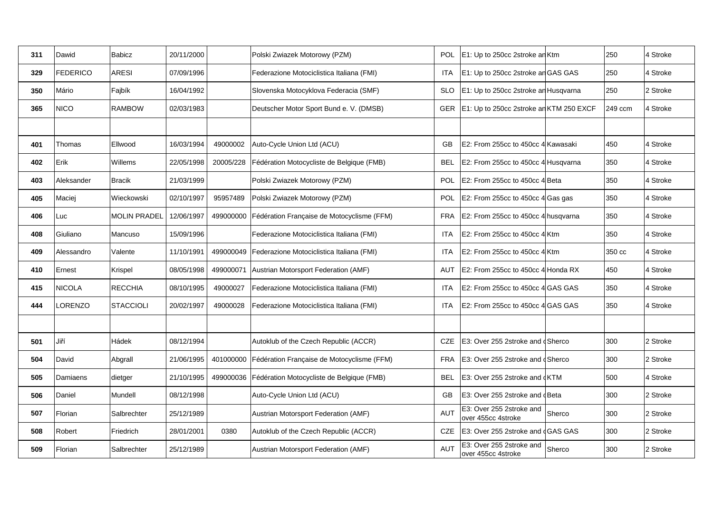| 311 | Dawid           | <b>Babicz</b>       | 20/11/2000 |           | Polski Zwiazek Motorowy (PZM)                          | <b>POL</b> | E1: Up to 250cc 2stroke an Ktm                 |        | 250     | 4 Stroke |
|-----|-----------------|---------------------|------------|-----------|--------------------------------------------------------|------------|------------------------------------------------|--------|---------|----------|
| 329 | <b>FEDERICO</b> | <b>ARESI</b>        | 07/09/1996 |           | Federazione Motociclistica Italiana (FMI)              | <b>ITA</b> | E1: Up to 250cc 2stroke an GAS GAS             |        | 250     | 4 Stroke |
| 350 | Mário           | Fajbík              | 16/04/1992 |           | Slovenska Motocyklova Federacia (SMF)                  | <b>SLO</b> | E1: Up to 250cc 2stroke an Husqvarna           |        | 250     | 2 Stroke |
| 365 | NICO            | <b>RAMBOW</b>       | 02/03/1983 |           | Deutscher Motor Sport Bund e. V. (DMSB)                | <b>GER</b> | E1: Up to 250cc 2stroke an KTM 250 EXCF        |        | 249 ccm | 4 Stroke |
|     |                 |                     |            |           |                                                        |            |                                                |        |         |          |
| 401 | Thomas          | Ellwood             | 16/03/1994 | 49000002  | Auto-Cycle Union Ltd (ACU)                             | <b>GB</b>  | E2: From 255cc to 450cc 4 Kawasaki             |        | 450     | 4 Stroke |
| 402 | Erik            | Willems             | 22/05/1998 | 20005/228 | Fédération Motocycliste de Belgique (FMB)              | BEL        | E2: From 255cc to 450cc 4 Husgvarna            |        | 350     | 4 Stroke |
| 403 | Aleksander      | <b>Bracik</b>       | 21/03/1999 |           | Polski Zwiazek Motorowy (PZM)                          | POL        | E2: From 255cc to 450cc 4 Beta                 |        | 350     | 4 Stroke |
| 405 | Maciej          | Wieckowski          | 02/10/1997 | 95957489  | Polski Zwiazek Motorowy (PZM)                          | <b>POL</b> | E2: From 255cc to 450cc 4 Gas gas              |        | 350     | 4 Stroke |
| 406 | Luc             | <b>MOLIN PRADEL</b> | 12/06/1997 | 499000000 | Fédération Française de Motocyclisme (FFM)             | FRA        | E2: From 255cc to 450cc 4 husgvarna            |        | 350     | 4 Stroke |
| 408 | Giuliano        | Mancuso             | 15/09/1996 |           | Federazione Motociclistica Italiana (FMI)              | <b>ITA</b> | E2: From 255cc to 450cc 4 Ktm                  |        | 350     | 4 Stroke |
| 409 | Alessandro      | Valente             | 11/10/1991 | 499000049 | Federazione Motociclistica Italiana (FMI)              | <b>ITA</b> | E2: From 255cc to 450cc 4 Ktm                  |        | 350 cc  | 4 Stroke |
| 410 | Ernest          | Krispel             | 08/05/1998 | 499000071 | Austrian Motorsport Federation (AMF)                   | <b>AUT</b> | E2: From 255cc to 450cc 4 Honda RX             |        | 450     | 4 Stroke |
| 415 | <b>NICOLA</b>   | <b>RECCHIA</b>      | 08/10/1995 | 49000027  | Federazione Motociclistica Italiana (FMI)              | <b>ITA</b> | E2: From 255cc to 450cc 4 GAS GAS              |        | 350     | 4 Stroke |
| 444 | LORENZO         | <b>STACCIOLI</b>    | 20/02/1997 | 49000028  | Federazione Motociclistica Italiana (FMI)              | <b>ITA</b> | E2: From 255cc to 450cc 4 GAS GAS              |        | 350     | 4 Stroke |
|     |                 |                     |            |           |                                                        |            |                                                |        |         |          |
| 501 | Jiří            | Hádek               | 08/12/1994 |           | Autoklub of the Czech Republic (ACCR)                  | <b>CZE</b> | E3: Over 255 2stroke and dSherco               |        | 300     | 2 Stroke |
| 504 | David           | Abgrall             | 21/06/1995 |           | 401000000   Fédération Française de Motocyclisme (FFM) | <b>FRA</b> | E3: Over 255 2stroke and dSherco               |        | 300     | 2 Stroke |
| 505 | Damiaens        | dietger             | 21/10/1995 |           | 499000036   Fédération Motocycliste de Belgique (FMB)  | <b>BEL</b> | E3: Over 255 2stroke and dKTM                  |        | 500     | 4 Stroke |
| 506 | Daniel          | Mundell             | 08/12/1998 |           | Auto-Cycle Union Ltd (ACU)                             | GB         | E3: Over 255 2stroke and dBeta                 |        | 300     | 2 Stroke |
| 507 | Florian         | Salbrechter         | 25/12/1989 |           | Austrian Motorsport Federation (AMF)                   | <b>AUT</b> | E3: Over 255 2stroke and<br>over 455cc 4stroke | Sherco | 300     | 2 Stroke |
| 508 | Robert          | Friedrich           | 28/01/2001 | 0380      | Autoklub of the Czech Republic (ACCR)                  | CZE        | E3: Over 255 2stroke and dGAS GAS              |        | 300     | 2 Stroke |
| 509 | Florian         | Salbrechter         | 25/12/1989 |           | Austrian Motorsport Federation (AMF)                   | <b>AUT</b> | E3: Over 255 2stroke and<br>over 455cc 4stroke | Sherco | 300     | 2 Stroke |